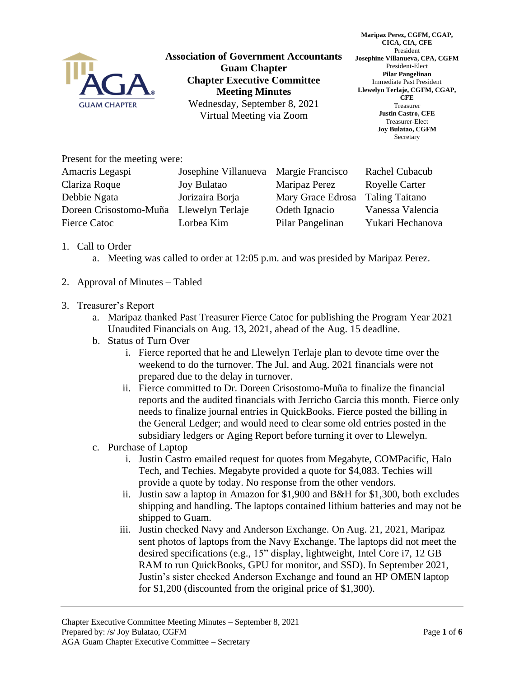

**Association of Government Accountants Guam Chapter Chapter Executive Committee Meeting Minutes** Wednesday, September 8, 2021 Virtual Meeting via Zoom

**Maripaz Perez, CGFM, CGAP, CICA, CIA, CFE** President **Josephine Villanueva, CPA, CGFM** President-Elect **Pilar Pangelinan** Immediate Past President **Llewelyn Terlaje, CGFM, CGAP, CFE** Treasurer **Justin Castro, CFE** Treasurer-Elect **Joy Bulatao, CGFM** Secretary

Present for the meeting were:

| Amacris Legaspi                         | Josephine Villanueva Margie Francisco |                   | Rachel Cubacub        |
|-----------------------------------------|---------------------------------------|-------------------|-----------------------|
| Clariza Roque                           | <b>Joy Bulatao</b>                    | Maripaz Perez     | <b>Royelle Carter</b> |
| Debbie Ngata                            | Jorizaira Borja                       | Mary Grace Edrosa | <b>Taling Taitano</b> |
| Doreen Crisostomo-Muña Llewelyn Terlaje |                                       | Odeth Ignacio     | Vanessa Valencia      |
| <b>Fierce Catoc</b>                     | Lorbea Kim                            | Pilar Pangelinan  | Yukari Hechanova      |
|                                         |                                       |                   |                       |

- 1. Call to Order
	- a. Meeting was called to order at 12:05 p.m. and was presided by Maripaz Perez.
- 2. Approval of Minutes Tabled
- 3. Treasurer's Report
	- a. Maripaz thanked Past Treasurer Fierce Catoc for publishing the Program Year 2021 Unaudited Financials on Aug. 13, 2021, ahead of the Aug. 15 deadline.
	- b. Status of Turn Over
		- i. Fierce reported that he and Llewelyn Terlaje plan to devote time over the weekend to do the turnover. The Jul. and Aug. 2021 financials were not prepared due to the delay in turnover.
		- ii. Fierce committed to Dr. Doreen Crisostomo-Muña to finalize the financial reports and the audited financials with Jerricho Garcia this month. Fierce only needs to finalize journal entries in QuickBooks. Fierce posted the billing in the General Ledger; and would need to clear some old entries posted in the subsidiary ledgers or Aging Report before turning it over to Llewelyn.
	- c. Purchase of Laptop
		- i. Justin Castro emailed request for quotes from Megabyte, COMPacific, Halo Tech, and Techies. Megabyte provided a quote for \$4,083. Techies will provide a quote by today. No response from the other vendors.
		- ii. Justin saw a laptop in Amazon for \$1,900 and B&H for \$1,300, both excludes shipping and handling. The laptops contained lithium batteries and may not be shipped to Guam.
		- iii. Justin checked Navy and Anderson Exchange. On Aug. 21, 2021, Maripaz sent photos of laptops from the Navy Exchange. The laptops did not meet the desired specifications (e.g., 15" display, lightweight, Intel Core i7, 12 GB RAM to run QuickBooks, GPU for monitor, and SSD). In September 2021, Justin's sister checked Anderson Exchange and found an HP OMEN laptop for \$1,200 (discounted from the original price of \$1,300).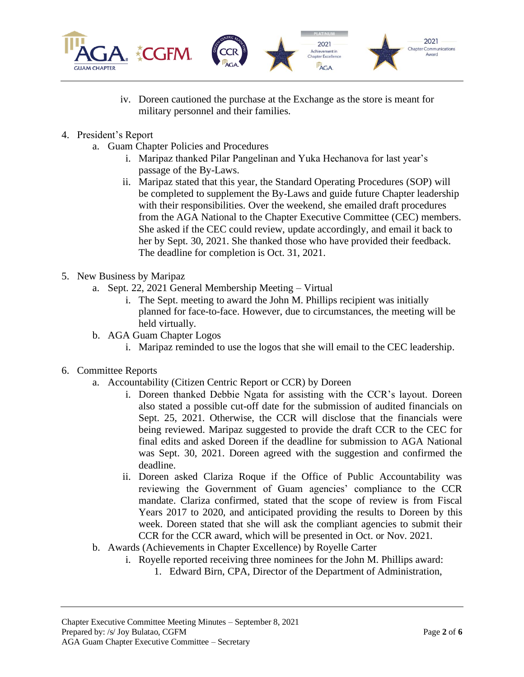

- iv. Doreen cautioned the purchase at the Exchange as the store is meant for military personnel and their families.
- 4. President's Report
	- a. Guam Chapter Policies and Procedures
		- i. Maripaz thanked Pilar Pangelinan and Yuka Hechanova for last year's passage of the By-Laws.
		- ii. Maripaz stated that this year, the Standard Operating Procedures (SOP) will be completed to supplement the By-Laws and guide future Chapter leadership with their responsibilities. Over the weekend, she emailed draft procedures from the AGA National to the Chapter Executive Committee (CEC) members. She asked if the CEC could review, update accordingly, and email it back to her by Sept. 30, 2021. She thanked those who have provided their feedback. The deadline for completion is Oct. 31, 2021.
- 5. New Business by Maripaz
	- a. Sept. 22, 2021 General Membership Meeting Virtual
		- i. The Sept. meeting to award the John M. Phillips recipient was initially planned for face-to-face. However, due to circumstances, the meeting will be held virtually.
	- b. AGA Guam Chapter Logos
		- i. Maripaz reminded to use the logos that she will email to the CEC leadership.
- 6. Committee Reports
	- a. Accountability (Citizen Centric Report or CCR) by Doreen
		- i. Doreen thanked Debbie Ngata for assisting with the CCR's layout. Doreen also stated a possible cut-off date for the submission of audited financials on Sept. 25, 2021. Otherwise, the CCR will disclose that the financials were being reviewed. Maripaz suggested to provide the draft CCR to the CEC for final edits and asked Doreen if the deadline for submission to AGA National was Sept. 30, 2021. Doreen agreed with the suggestion and confirmed the deadline.
		- ii. Doreen asked Clariza Roque if the Office of Public Accountability was reviewing the Government of Guam agencies' compliance to the CCR mandate. Clariza confirmed, stated that the scope of review is from Fiscal Years 2017 to 2020, and anticipated providing the results to Doreen by this week. Doreen stated that she will ask the compliant agencies to submit their CCR for the CCR award, which will be presented in Oct. or Nov. 2021.
	- b. Awards (Achievements in Chapter Excellence) by Royelle Carter
		- i. Royelle reported receiving three nominees for the John M. Phillips award:
			- 1. Edward Birn, CPA, Director of the Department of Administration,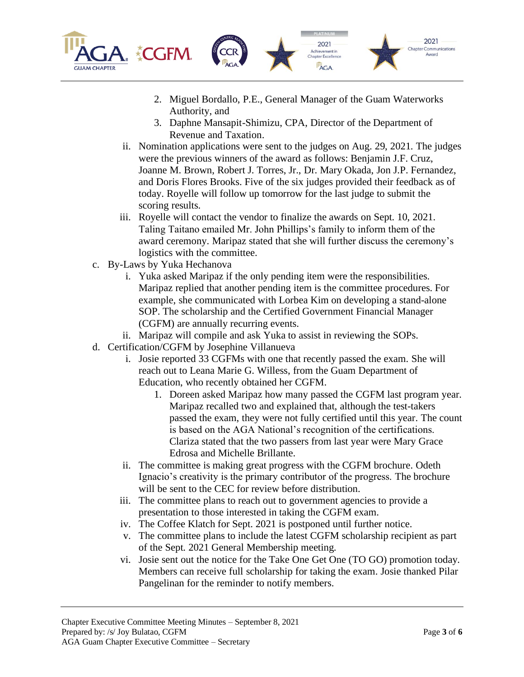



2021

Achievement in<br>Chapter Excellence **TAGA** 

- 3. Daphne Mansapit-Shimizu, CPA, Director of the Department of Revenue and Taxation.
- ii. Nomination applications were sent to the judges on Aug. 29, 2021. The judges were the previous winners of the award as follows: Benjamin J.F. Cruz, Joanne M. Brown, Robert J. Torres, Jr., Dr. Mary Okada, Jon J.P. Fernandez, and Doris Flores Brooks. Five of the six judges provided their feedback as of today. Royelle will follow up tomorrow for the last judge to submit the scoring results.
- iii. Royelle will contact the vendor to finalize the awards on Sept. 10, 2021. Taling Taitano emailed Mr. John Phillips's family to inform them of the award ceremony. Maripaz stated that she will further discuss the ceremony's logistics with the committee.
- c. By-Laws by Yuka Hechanova
	- i. Yuka asked Maripaz if the only pending item were the responsibilities. Maripaz replied that another pending item is the committee procedures. For example, she communicated with Lorbea Kim on developing a stand-alone SOP. The scholarship and the Certified Government Financial Manager (CGFM) are annually recurring events.
	- ii. Maripaz will compile and ask Yuka to assist in reviewing the SOPs.
- d. Certification/CGFM by Josephine Villanueva
	- i. Josie reported 33 CGFMs with one that recently passed the exam. She will reach out to Leana Marie G. Willess, from the Guam Department of Education, who recently obtained her CGFM.
		- 1. Doreen asked Maripaz how many passed the CGFM last program year. Maripaz recalled two and explained that, although the test-takers passed the exam, they were not fully certified until this year. The count is based on the AGA National's recognition of the certifications. Clariza stated that the two passers from last year were Mary Grace Edrosa and Michelle Brillante.
	- ii. The committee is making great progress with the CGFM brochure. Odeth Ignacio's creativity is the primary contributor of the progress. The brochure will be sent to the CEC for review before distribution.
	- iii. The committee plans to reach out to government agencies to provide a presentation to those interested in taking the CGFM exam.
	- iv. The Coffee Klatch for Sept. 2021 is postponed until further notice.
	- v. The committee plans to include the latest CGFM scholarship recipient as part of the Sept. 2021 General Membership meeting.
	- vi. Josie sent out the notice for the Take One Get One (TO GO) promotion today. Members can receive full scholarship for taking the exam. Josie thanked Pilar Pangelinan for the reminder to notify members.

2021

**Chapter Communications**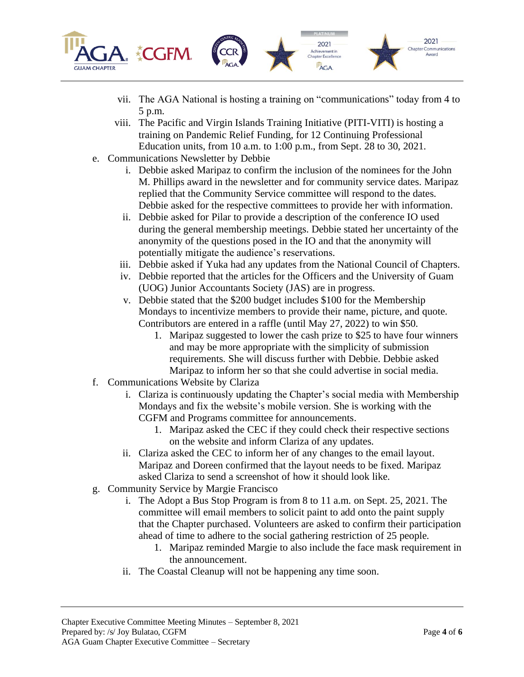

- vii. The AGA National is hosting a training on "communications" today from 4 to 5 p.m.
- viii. The Pacific and Virgin Islands Training Initiative (PITI-VITI) is hosting a training on Pandemic Relief Funding, for 12 Continuing Professional Education units, from 10 a.m. to 1:00 p.m., from Sept. 28 to 30, 2021.
- e. Communications Newsletter by Debbie
	- i. Debbie asked Maripaz to confirm the inclusion of the nominees for the John M. Phillips award in the newsletter and for community service dates. Maripaz replied that the Community Service committee will respond to the dates. Debbie asked for the respective committees to provide her with information.
	- ii. Debbie asked for Pilar to provide a description of the conference IO used during the general membership meetings. Debbie stated her uncertainty of the anonymity of the questions posed in the IO and that the anonymity will potentially mitigate the audience's reservations.
	- iii. Debbie asked if Yuka had any updates from the National Council of Chapters.
	- iv. Debbie reported that the articles for the Officers and the University of Guam (UOG) Junior Accountants Society (JAS) are in progress.
	- v. Debbie stated that the \$200 budget includes \$100 for the Membership Mondays to incentivize members to provide their name, picture, and quote. Contributors are entered in a raffle (until May 27, 2022) to win \$50.
		- 1. Maripaz suggested to lower the cash prize to \$25 to have four winners and may be more appropriate with the simplicity of submission requirements. She will discuss further with Debbie. Debbie asked Maripaz to inform her so that she could advertise in social media.
- f. Communications Website by Clariza
	- i. Clariza is continuously updating the Chapter's social media with Membership Mondays and fix the website's mobile version. She is working with the CGFM and Programs committee for announcements.
		- 1. Maripaz asked the CEC if they could check their respective sections on the website and inform Clariza of any updates.
	- ii. Clariza asked the CEC to inform her of any changes to the email layout. Maripaz and Doreen confirmed that the layout needs to be fixed. Maripaz asked Clariza to send a screenshot of how it should look like.
- g. Community Service by Margie Francisco
	- i. The Adopt a Bus Stop Program is from 8 to 11 a.m. on Sept. 25, 2021. The committee will email members to solicit paint to add onto the paint supply that the Chapter purchased. Volunteers are asked to confirm their participation ahead of time to adhere to the social gathering restriction of 25 people.
		- 1. Maripaz reminded Margie to also include the face mask requirement in the announcement.
	- ii. The Coastal Cleanup will not be happening any time soon.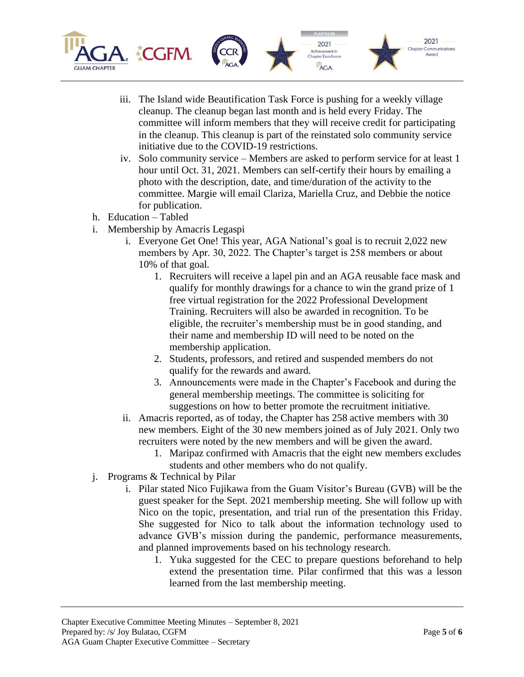

- iii. The Island wide Beautification Task Force is pushing for a weekly village cleanup. The cleanup began last month and is held every Friday. The committee will inform members that they will receive credit for participating in the cleanup. This cleanup is part of the reinstated solo community service initiative due to the COVID-19 restrictions.
- iv. Solo community service Members are asked to perform service for at least 1 hour until Oct. 31, 2021. Members can self-certify their hours by emailing a photo with the description, date, and time/duration of the activity to the committee. Margie will email Clariza, Mariella Cruz, and Debbie the notice for publication.
- h. Education Tabled
- i. Membership by Amacris Legaspi
	- i. Everyone Get One! This year, AGA National's goal is to recruit 2,022 new members by Apr. 30, 2022. The Chapter's target is 258 members or about 10% of that goal.
		- 1. Recruiters will receive a lapel pin and an AGA reusable face mask and qualify for monthly drawings for a chance to win the grand prize of 1 free virtual registration for the 2022 Professional Development Training. Recruiters will also be awarded in recognition. To be eligible, the recruiter's membership must be in good standing, and their name and membership ID will need to be noted on the membership application.
		- 2. Students, professors, and retired and suspended members do not qualify for the rewards and award.
		- 3. Announcements were made in the Chapter's Facebook and during the general membership meetings. The committee is soliciting for suggestions on how to better promote the recruitment initiative.
	- ii. Amacris reported, as of today, the Chapter has 258 active members with 30 new members. Eight of the 30 new members joined as of July 2021. Only two recruiters were noted by the new members and will be given the award.
		- 1. Maripaz confirmed with Amacris that the eight new members excludes students and other members who do not qualify.
- j. Programs & Technical by Pilar
	- i. Pilar stated Nico Fujikawa from the Guam Visitor's Bureau (GVB) will be the guest speaker for the Sept. 2021 membership meeting. She will follow up with Nico on the topic, presentation, and trial run of the presentation this Friday. She suggested for Nico to talk about the information technology used to advance GVB's mission during the pandemic, performance measurements, and planned improvements based on his technology research.
		- 1. Yuka suggested for the CEC to prepare questions beforehand to help extend the presentation time. Pilar confirmed that this was a lesson learned from the last membership meeting.